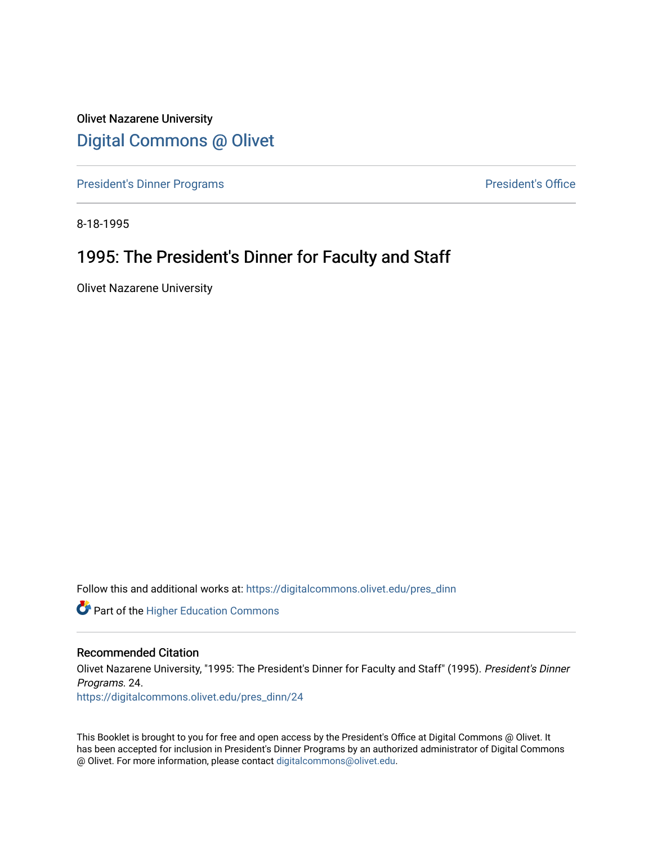Olivet Nazarene University [Digital Commons @ Olivet](https://digitalcommons.olivet.edu/)

[President's Dinner Programs](https://digitalcommons.olivet.edu/pres_dinn) **President's Office** 

8-18-1995

### 1995: The President's Dinner for Faculty and Staff

Olivet Nazarene University

Follow this and additional works at: [https://digitalcommons.olivet.edu/pres\\_dinn](https://digitalcommons.olivet.edu/pres_dinn?utm_source=digitalcommons.olivet.edu%2Fpres_dinn%2F24&utm_medium=PDF&utm_campaign=PDFCoverPages)

**Part of the Higher Education Commons** 

#### Recommended Citation

Olivet Nazarene University, "1995: The President's Dinner for Faculty and Staff" (1995). President's Dinner Programs. 24.

[https://digitalcommons.olivet.edu/pres\\_dinn/24](https://digitalcommons.olivet.edu/pres_dinn/24?utm_source=digitalcommons.olivet.edu%2Fpres_dinn%2F24&utm_medium=PDF&utm_campaign=PDFCoverPages) 

This Booklet is brought to you for free and open access by the President's Office at Digital Commons @ Olivet. It has been accepted for inclusion in President's Dinner Programs by an authorized administrator of Digital Commons @ Olivet. For more information, please contact [digitalcommons@olivet.edu.](mailto:digitalcommons@olivet.edu)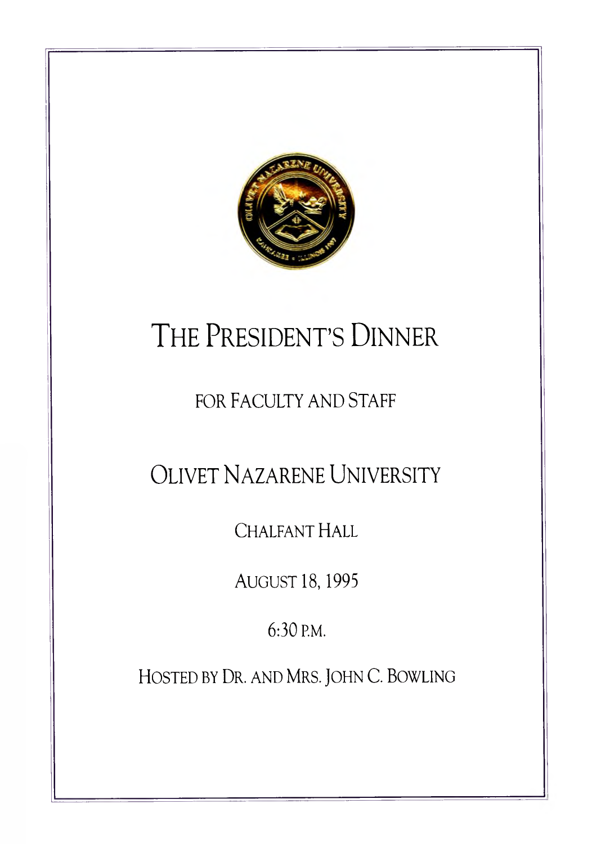

# THE PRESIDENT'S DINNER

### FOR FACULTY AND STAFF

OLIVET NAZARENE UNIVERSITY

CHALFANT HALL

AUGUST 18, 1995

6:30 P.M.

**PiOSTED BY Dr . AND MRS. JOHN C. BOWLING**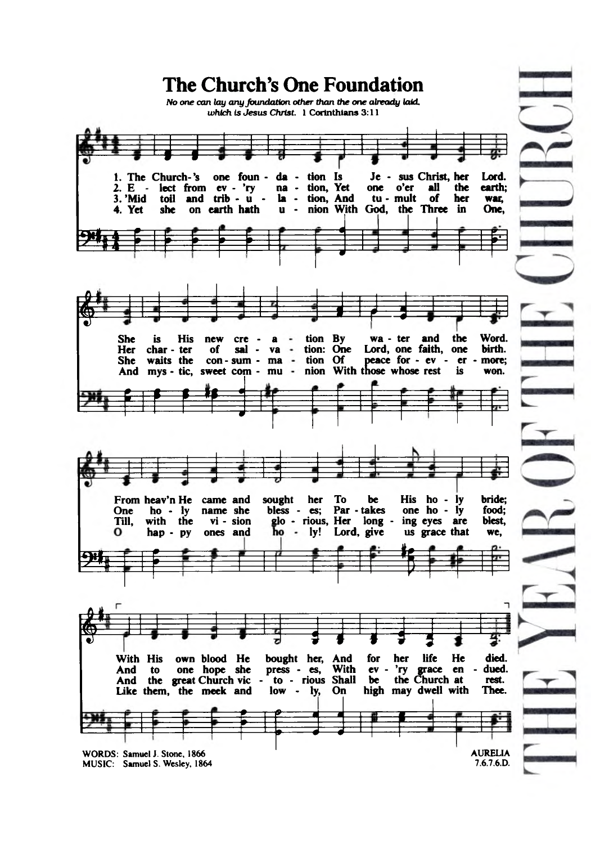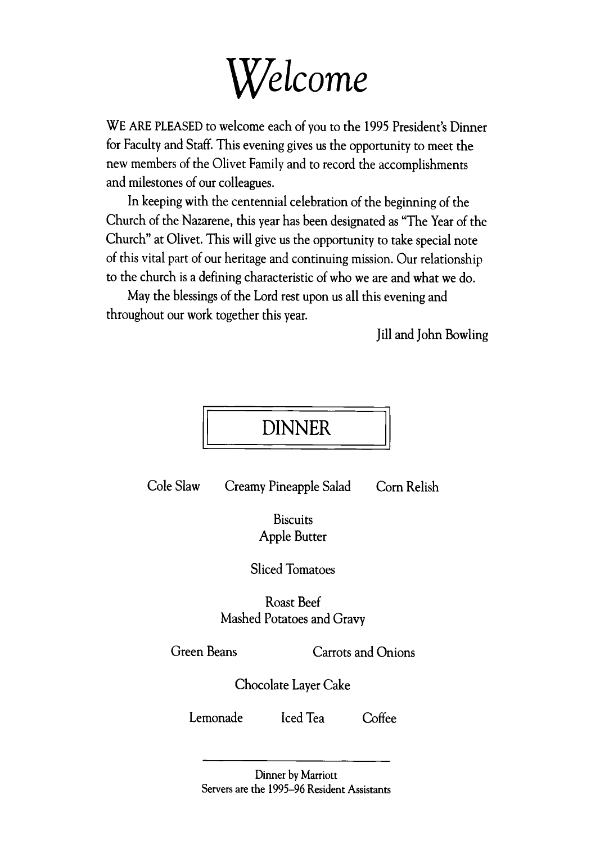

WE ARE PLEASED to welcome each of you to the 1995 President's Dinner **for Faculty and Staff. This evening gives us the opportunity to meet the new members of the Olivet Family and to record the accomplishments and milestones of our colleagues.**

**In keeping with the centennial celebration of the beginning of the Church of the Nazarene, this year has been designated as "The Year of the Church" at Olivet. This will give us the opportunity to take special note of this vital part of our heritage and continuing mission. Our relationship to the church is a defining characteristic of who we are and what we do.**

**May the blessings of the Lord rest upon us all this evening and throughout our work together this year.**

**Jill and John Bowling**



Cole Slaw Creamy Pineapple Salad Corn Relish

**Biscuits Apple Butter**

**Sliced Tomatoes**

**Roast Beef Mashed Potatoes and Gravy**

**Green Beans Carrots and Onions**

**Chocolate Layer Cake**

**Lemonade Iced Tea Coffee**

Dinner by Marriott Servers are the 1995-96 Resident Assistants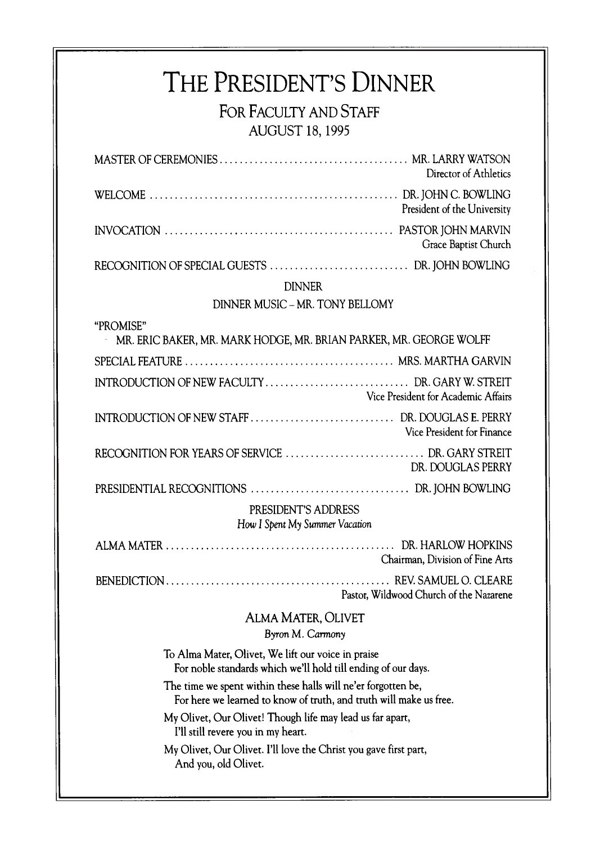# THE PRESIDENT'S DINNER

**FOR FACULTY AND STAFF AUG UST 18,1995**

| AUUUJI 10, 1777                                                                                                                     |                             |  |
|-------------------------------------------------------------------------------------------------------------------------------------|-----------------------------|--|
|                                                                                                                                     | Director of Athletics       |  |
|                                                                                                                                     | President of the University |  |
|                                                                                                                                     | Grace Baptist Church        |  |
|                                                                                                                                     |                             |  |
| <b>DINNER</b>                                                                                                                       |                             |  |
| DINNER MUSIC - MR. TONY BELLOMY                                                                                                     |                             |  |
| "PROMISE"<br>MR. ERIC BAKER, MR. MARK HODGE, MR. BRIAN PARKER, MR. GEORGE WOLFF                                                     |                             |  |
|                                                                                                                                     |                             |  |
| Vice President for Academic Affairs                                                                                                 |                             |  |
|                                                                                                                                     | Vice President for Finance  |  |
|                                                                                                                                     | DR. DOUGLAS PERRY           |  |
|                                                                                                                                     |                             |  |
| PRESIDENT'S ADDRESS<br>How I Spent My Summer Vacation                                                                               |                             |  |
| Chairman, Division of Fine Arts                                                                                                     |                             |  |
| Pastor, Wildwood Church of the Nazarene                                                                                             |                             |  |
| <b>ALMA MATER, OLIVET</b><br>Byron M. Carmony                                                                                       |                             |  |
| To Alma Mater, Olivet, We lift our voice in praise<br>For noble standards which we'll hold till ending of our days.                 |                             |  |
| The time we spent within these halls will ne'er forgotten be,<br>For here we learned to know of truth, and truth will make us free. |                             |  |
| My Olivet, Our Olivet! Though life may lead us far apart,<br>I'll still revere you in my heart.                                     |                             |  |
| My Olivet, Our Olivet. I'll love the Christ you gave first part,<br>And you, old Olivet.                                            |                             |  |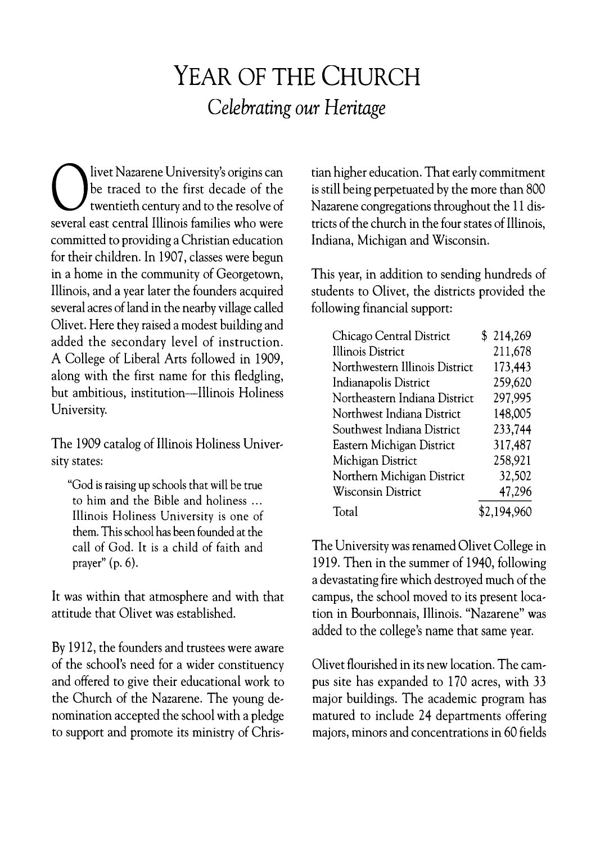## YEAR OF THE CHURCH *Celebrating our Heritage*

**Sexual University's origins can**<br>be traced to the first decade of the<br>several east central Illinois families who were **livet Nazarene University's origins can be traced to the first decade of the twentieth century and to the resolve of committed to providing a Christian education for their children. In 1907, classes were begun in a home in the community of Georgetown, Illinois, and a year later the founders acquired several acres of land in the nearby village called Olivet. Here they raised a modest building and added the secondary level of instruction. A College of Liberal Arts followed in 1909, along with the first name for this fledgling, but ambitious, institution— Illinois Holiness University.**

**The 1909 catalog of Illinois Holiness University states:**

"God is raising up schools that will be true to him and the Bible and holiness ... Illinois Holiness University is one of them. This school has been founded at the call of God. It is a child of faith and prayer" (p. 6).

**It was within that atmosphere and with that attitude that Olivet was established.**

**By 1912, the founders and trustees were aware of the school's need for a wider constituency and offered to give their educational work to the Church of the Nazarene. The young denomination accepted the school with a pledge to support and promote its ministry of Chris-**

**tian higher education. That early commitment is still being perpetuated by the more than 800 Nazarene congregations throughout the 11 districts of the church in the four states of Illinois, Indiana, Michigan and Wisconsin.**

**This year, in addition to sending hundreds of students to Olivet, the districts provided the following financial support:**

| Chicago Central District       | \$214,269   |
|--------------------------------|-------------|
| <b>Illinois District</b>       | 211,678     |
| Northwestern Illinois District | 173,443     |
| Indianapolis District          | 259,620     |
| Northeastern Indiana District  | 297,995     |
| Northwest Indiana District     | 148,005     |
| Southwest Indiana District     | 233,744     |
| Eastern Michigan District      | 317,487     |
| Michigan District              | 258,921     |
| Northern Michigan District     | 32,502      |
| <b>Wisconsin District</b>      | 47,296      |
| Total                          | \$2,194,960 |

**The University was renamed Olivet College in 1919. Then in the summer of 1940, following a devastating fire which destroyed much of the campus, the school moved to its present location in Bourbonnais, Illinois. "Nazarene" was added to the college's name that same year.**

**Olivet flourished in its new location. The campus site has expanded to 170 acres, with 33 major buildings. The academic program has matured to include 24 departments offering majors, minors and concentrations in 60 fields**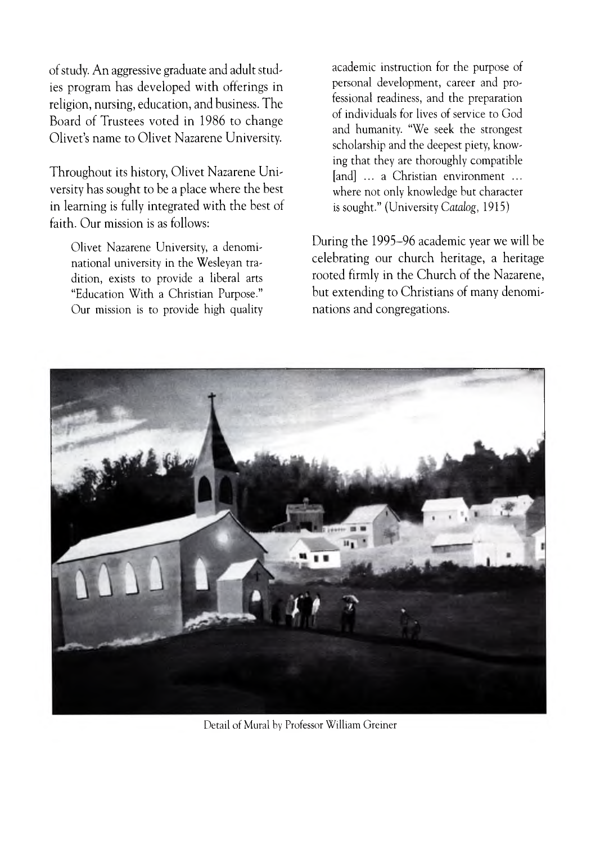of study. An aggressive graduate and adult studies program has developed with offerings in religion, nursing, education, and business. The Board of Trustees voted in 1986 to change Olivet's name to Olivet Nazarene University.

Throughout its history, Olivet Nazarene University has sought to be a place where the best in learning is fully integrated with the best of faith. Our mission is as follows:

Olivet Nazarene University, a denominational university in the Wesleyan tradition, exists to provide a liberal arts "Education With a Christian Purpose." Our mission is to provide high quality academic instruction for the purpose of personal development, career and professional readiness, and the preparation of individuals for lives of service to God and humanity. "We seek the strongest scholarship and the deepest piety, knowing that they are thoroughly compatible [and] ... a Christian environment ... where not only knowledge but character is sought." (University Catalog, 1915)

During the 1995–96 academic year we will be celebrating our church heritage, a heritage rooted firmly in the Church of the Nazarene, but extending to Christians of many denominations and congregations.



Detail of Mural by Professor William Greiner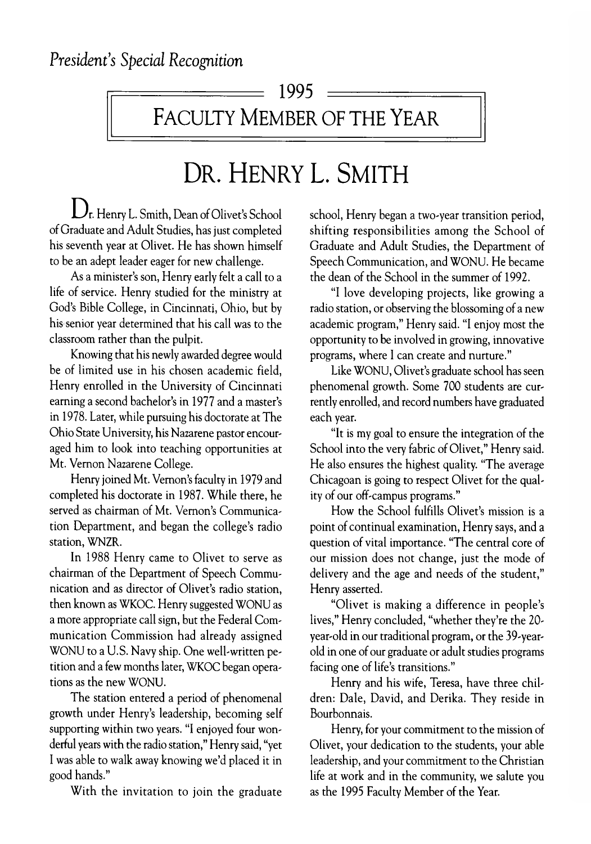$\sqrt{ }$  1995  $=$ 

FACULTY MEMBER OF THE YEAR

# DR. HENRY L. SMITH

 $\bigcup_{r.}$  Henry L. Smith, Dean of Olivet's School of Graduate and Adult Studies, has just completed his seventh year at Olivet. He has shown himself to be an adept leader eager for new challenge.

As a minister's son, Henry early felt a call to a life of service. Henry studied for the ministry at God's Bible College, in Cincinnati, Ohio, but by his senior year determined that his call was to the classroom rather than the pulpit.

Knowing that his newly awarded degree would be of limited use in his chosen academic field, Henry enrolled in the University of Cincinnati earning a second bachelor's in 1977 and a master's in 1978. Later, while pursuing his doctorate at The Ohio State University, his Nazarene pastor encouraged him to look into teaching opportunities at Mt. Vernon Nazarene College.

Henry joined Mt. Vernon's faculty in 1979 and completed his doctorate in 1987. W hile there, he served as chairman of Mt. Vernon's Communication Department, and began the college's radio station, WNZR.

In 1988 Henry came to Olivet to serve as chairman of the Department of Speech Communication and as director of Olivet's radio station, then known as WKOC. Henry suggested WONU as a more appropriate call sign, but the Federal Com munication Commission had already assigned WONU to a U.S. Navy ship. One well-written petition and a few months later, WKOC began operations as the new WONU.

The station entered a period of phenomenal growth under Henry's leadership, becoming self supporting within two years. "I enjoyed four wonderful years with the radio station," Henry said, "yet I was able to walk away knowing we'd placed it in good hands."

With the invitation to join the graduate

school, Henry began a two-year transition period, shifting responsibilities among the School of Graduate and Adult Studies, the Department of Speech Communication, and WONU. He became the dean of the School in the summer of 1992.

"I love developing projects, like growing a radio station, or observing the blossoming of a new academic program," Henry said. "I enjoy most the opportunity to be involved in growing, innovative programs, where I can create and nurture."

Like WONU, Olivet's graduate school has seen phenomenal growth. Some 700 students are currently enrolled, and record numbers have graduated each year.

"It is my goal to ensure the integration of the School into the very fabric of Olivet," Henry said. He also ensures the highest quality. "The average Chicagoan is going to respect Olivet for the quality of our off-campus programs."

How the School fulfills Olivet's mission is a point of continual examination, Henry says, and a question of vital importance. "The central core of our mission does not change, just the mode of delivery and the age and needs of the student," Henry asserted.

"Olivet is making a difference in people's lives," Henry concluded, "whether they're the 20 year-old in our traditional program, or the 39-yearold in one of our graduate or adult studies programs facing one of life's transitions."

Henry and his wife, Teresa, have three children: Dale, David, and Derika. They reside in Bourbonnais.

Henry, for your com mitment to the mission of Olivet, your dedication to the students, your able leadership, and your commitment to the Christian life at work and in the community, we salute you as the 1995 Faculty Member of the Year.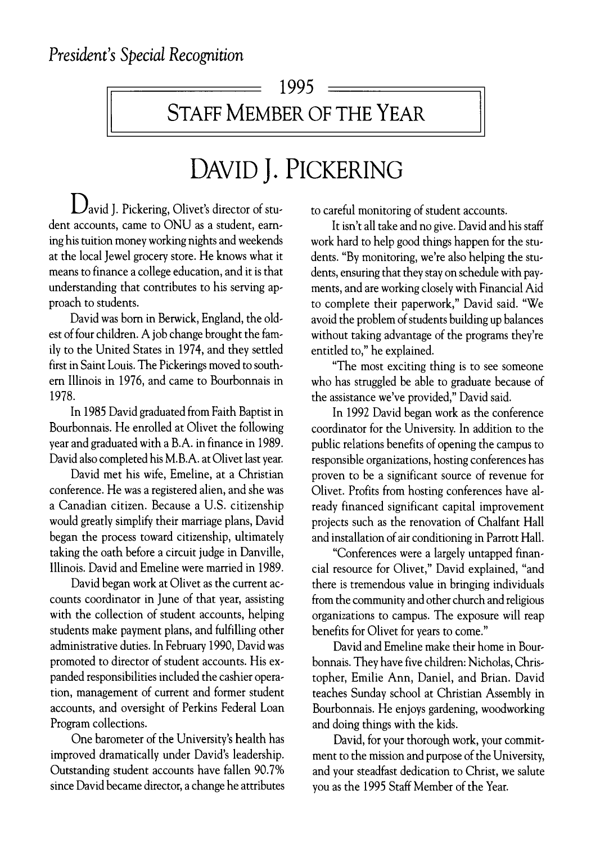STAFF MEMBER OF THE YEAR

# DAVID J. PICKERING

 $\mathbf{D}$  avid J. Pickering, Olivet's director of student accounts, came to ONU as a student, earning his tuition money working nights and weekends at the local Jewel grocery store. He knows what it means to finance a college education, and it is that understanding that contributes to his serving approach to students.

David was bom in Berwick, England, the oldest of four children. A job change brought the family to the United States in 1974, and they settled first in Saint Louis. The Pickerings moved to southern Illinois in 1976, and came to Bourbonnais in 1978.

In 1985 David graduated from Faith Baptist in Bourbonnais. He enrolled at Olivet the following year and graduated with a B.A . in finance in 1989. David also completed his M.B.A. at Olivet last year.

David met his wife, Emeline, at a Christian conference. He was a registered alien, and she was a Canadian citizen. Because a U.S. citizenship would greatly simplify their marriage plans, David began the process toward citizenship, ultimately taking the oath before a circuit judge in Danville, Illinois. David and Emeline were married in 1989.

David began work at Olivet as the current accounts coordinator in June of that year, assisting with the collection of student accounts, helping students make payment plans, and fulfilling other administrative duties. In February 1990, David was promoted to director of student accounts. His expanded responsibilities included the cashier operation, management of current and former student accounts, and oversight of Perkins Federal Loan Program collections.

One barometer of the University's health has improved dramatically under David's leadership. Outstanding student accounts have fallen 90.7% since David became director, a change he attributes to careful monitoring of student accounts.

It isn't all take and no give. David and his staff work hard to help good things happen for the students. "By monitoring, we're also helping the students, ensuring that they stay on schedule with payments, and are working closely with Financial Aid to complete their paperwork," David said. "We avoid the problem of students building up balances without taking advantage of the programs they're entitled to," he explained.

"The most exciting thing is to see someone who has struggled be able to graduate because of the assistance we've provided," David said.

In 1992 David began work as the conference coordinator for the University. In addition to the public relations benefits of opening the campus to responsible organizations, hosting conferences has proven to be a significant source of revenue for Olivet. Profits from hosting conferences have already financed significant capital improvement projects such as the renovation of Chalfant Hall and installation of air conditioning in Parrott Hall.

"Conferences were a largely untapped financial resource for Olivet," David explained, "and there is tremendous value in bringing individuals from the community and other church and religious organizations to campus. The exposure will reap benefits for Olivet for years to come."

David and Emeline make their home in Bourbonnais. They have five children: Nicholas, Christopher, Emilie Ann, Daniel, and Brian. David teaches Sunday school at Christian Assembly in Bourbonnais. He enjoys gardening, woodworking and doing things with the kids.

David, for your thorough work, your commitment to the mission and purpose of the University, and your steadfast dedication to Christ, we salute you as the 1995 Staff Member of the Year.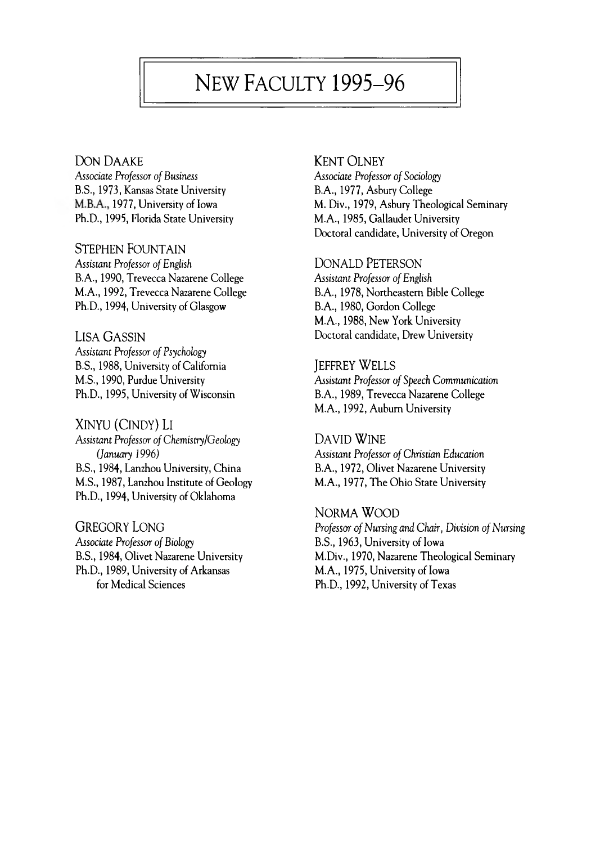### NEW FACULTY 1995-96

DON DAAKE

**Associate Professor of Business** B.S., 1973, Kansas State University M.B.A., 1977, University of Iowa Ph.D., 1995, Florida State University

STEPHEN FOUNTAIN *Assistant Professor of English* B.A., 1990, Trevecca Nazarene College M.A., 1992, Trevecca Nazarene College Ph.D., 1994, University of Glasgow

LISA GASSIN **Assistant Professor of Psychology** B.S., 1988, University of California M.S., 1990, Purdue University Ph.D., 1995, University of Wisconsin

XINYU (CINDY) LI Assistant Professor of Chemistry/Geology *(January 1996)* B.S., 1984, Lanzhou University, China M.S., 1987, Lanzhou Institute of Geology Ph.D., 1994, University of Oklahoma

GREGORY LONG **Associate Professor of Biology** B.S., 1984, Olivet Nazarene University Ph.D., 1989, University of Arkansas for Medical Sciences

**KENT OLNEY** 

*Associate Professor of Sociology* B.A., 1977, Asbury College M. Div., 1979, Asbury Theological Seminary M.A., 1985, Gallaudet University Doctoral candidate, University of Oregon

DONALD PETERSON

*Assistant Professor o f English* B.A., 1978, Northeastern Bible College B.A., 1980, Gordon College M.A., 1988, New York University Doctoral candidate, Drew University

**JEFFREY WELLS Assistant Professor of Speech Communication** B.A., 1989, Trevecca Nazarene College M.A., 1992, Auburn University

DAVID WINE **Assistant Professor of Christian Education** B.A., 1972, Olivet Nazarene University M.A., 1977, The Ohio State University

NORMA WOOD *Professor of Nursing and Chair, Division of Nursing* B.S., 1963, University of Iowa M.Div., 1970, Nazarene Theological Seminary M.A., 1975, University of Iowa Ph.D., 1992, University of Texas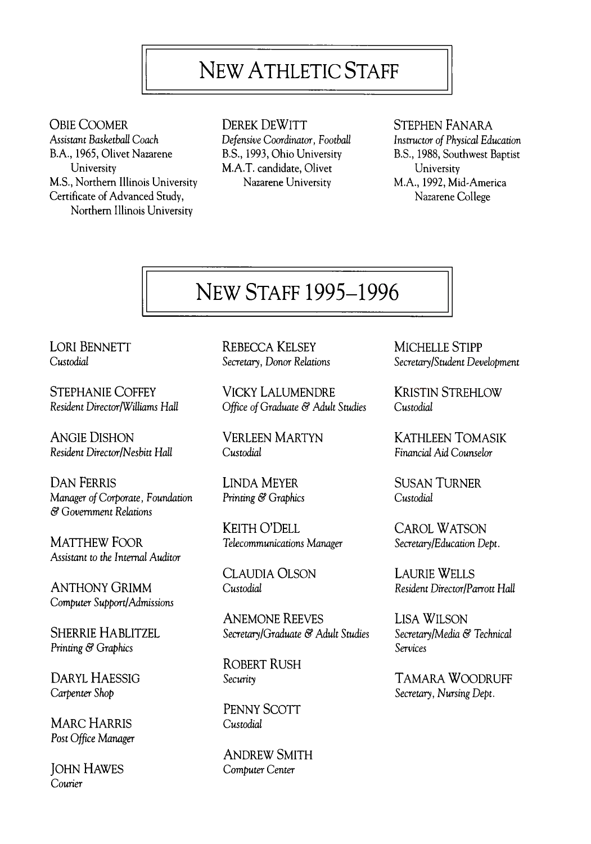### NEW ATHLETIC STAFF

**OBIE COOMER** *Assistant Basketball Coach* B.A., 1965, Olivet Nazarene University M.S., Northern Illinois University Certificate of Advanced Study, Northern Illinois University

DEREK DEWITT *Defensive Coordinator, Football* B.S., 1993, Ohio University M.A.T. candidate, Olivet Nazarene University

#### STEPHEN FANARA

*Instructor of Physical Education* B.S., 1988, Southwest Baptist University M.A., 1992, Mid-America Nazarene College

### NEW STAFF 1995-1996

LORI BENNETT *Custodial*

STEPHANIE COFFEY *Resident Director/Williams Hall*

ANGIE DISHON *Resident Director/Nesbitt Hall*

DAN FERRIS LINDA MEYER SUSAN TURNER Manager of Corporate, Foundation *Printing & Graphics* Custodial *Custodial & Government Relations*

MATTHEW FOOR **Telecommunications Manager** Secretary/Education Dept. Assistant to *the Internal Auditor*

AN TH ON Y GRIM M *Custodial Resident Director/Parrott Hall Computer Support/Admissions*

*Printing & Graphics*

*Carpenter Shop*

MARC HARRIS Custodial *Post Office Manager*

**JOHN HAWES** Computer Center *Courier*

REBECCA KELSEY *Secretary, Donor Relations*

VICKY LALUMENDRE *Office of Graduate & Adult Studies* 

VERLEEN MARTYN *Custodial*

KEITH O'DELL CAROL WATSON

CLAUDIA OLSON LAURIE WELLS

ANEMONE REEVES LISA WILSON SHERRIE HABLITZEL **Secretary/Graduate & Adult Studies** Secretary/Media & Technical

ROBERT RUSH

PENNY SCOTT

ANDREW SMITH

MICHELLE STIPP *Secretary/Student Development*

KRISTIN STREHLOW *Custodial*

K ATHLEEN TOMASIK *Financial Aid Counselor*

*Services*

DARYL HAESSIG *Security* Security **TAMARA WOODRUFF** *Secretary, Nursing Dept.*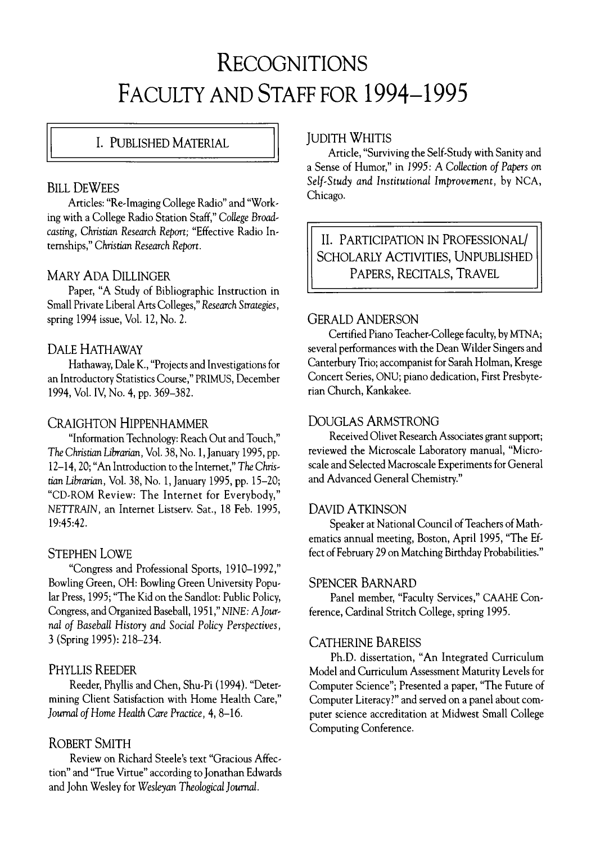## RECOGNITIONS FACULTY AND STAFF FOR 1994-1995

#### I. PUBLISHED MATERIAL

#### **BILL DEWEES**

Articles: "Re-Imaging College Radio" and "Working with a College Radio Station Staff," *College Broadcasting, Christian Research Report;* "Effective Radio Internships," *Christian Research Report.*

#### MARY ADA DILLINGER

Paper, "A Study of Bibliographic Instruction in Small Private Liberal Arts Colleges," *Research Strategies,* spring 1994 issue, Vol. 12, No. 2.

#### DALE HATHAWAY

Hathaway, Dale K., "Projects and Investigations for an Introductory Statistics Course," PRIMUS, December 1994, Vol. IV, No. 4, pp. 369-382.

#### CRAIGHTON HIPPENHAMMER

"Information Technology: Reach Out and Touch," *The Christian Librarian,* Vol. 38, No. 1, January 1995, pp. 12-14,20; "An Introduction to the Internet," *The Chris*tian *Librarian,* Vol. 38, No. 1, January 1995, pp. 15-20; "CD-ROM Review: The Internet for Everybody," NETTRAIN, an Internet Listserv. Sat., 18 Feb. 1995, 19:45:42.

#### STEPHEN LOWE

"Congress and Professional Sports, 1910-1992," Bowling Green, OH: Bowling Green University Popular Press, 1995; "The Kid on the Sandlot: Public Policy, Congress, and Organized Baseball, 1951," *NINE: A Journal of Baseball History and Social Policy Perspectives,* 3 (Spring 1995): 218-234.

#### PHYLLIS REEDER

Reeder, Phyllis and Chen, Shu-Pi (1994). "Determining Client Satisfaction with Home Health Care," Journal of Home Health Care Practice, 4, 8-16.

#### ROBERT SMITH

Review on Richard Steele's text "Gracious Affection" and "True Virtue" according to Jonathan Edwards and John Wesley for *Wesleyan Theological Journal.*

#### **JUDITH WHITIS**

Article, "Surviving the Self-Study with Sanity and a Sense of Humor," in 1995: A Collection of Papers on *Self'Study and Institutional Improvement,* by NCA, Chicago.

II. PARTICIPATION IN PROFESSIONAL/ SCHOLARLY ACTIVITIES, UNPUBLISHED PAPERS, RECITALS, TRAVEL

#### GERALD ANDERSON

Certified Piano Teacher-College faculty, by MTNA; several performances with the Dean Wilder Singers and Canterbury Trio; accompanist for Sarah Holman, Kresge Concert Series, ONU; piano dedication, First Presbyterian Church, Kankakee.

#### DOUGLAS ARMSTRONG

Received Olivet Research Associates grant support; reviewed the Microscale Laboratory manual, "Microscale and Selected Macroscale Experiments for General and Advanced General Chemistry."

#### DAVID A TKINSON

Speaker at National Council of Teachers of Mathematics annual meeting, Boston, April 1995, "The Effect of February 29 on Matching Birthday Probabilities."

#### SPENCER BARNARD

Panel member, "Faculty Services," CAAHE Conference, Cardinal Stritch College, spring 1995.

#### CATHERINE BAREISS

Ph.D. dissertation, "An Integrated Curriculum Model and Curriculum Assessment Maturity Levels for Computer Science"; Presented a paper, "The Future of Computer Literacy?" and served on a panel about computer science accreditation at Midwest Small College Computing Conference.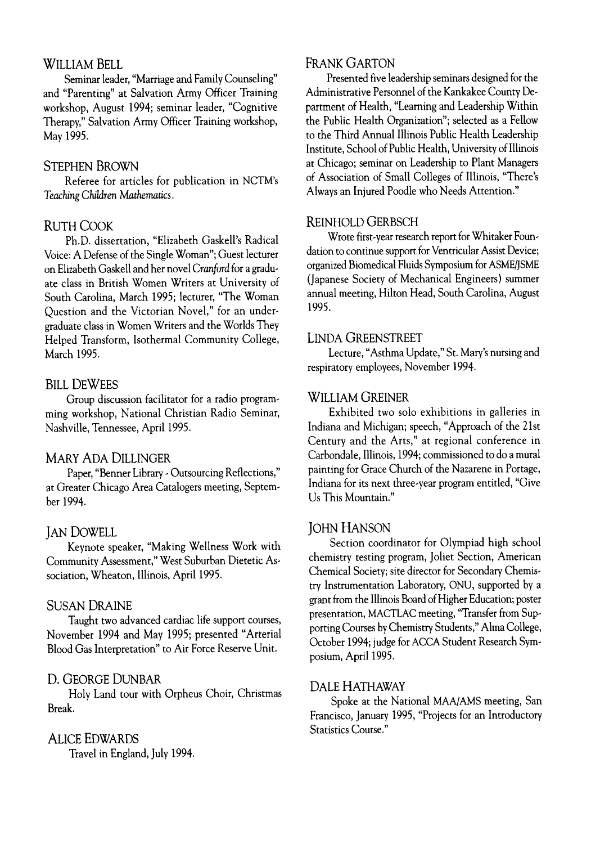#### WILLIAM BELL

Seminar leader, "Marriage and Family Counseling" and "Parenting" at Salvation Army Officer Training workshop, August 1994; seminar leader, "Cognitive Therapy," Salvation Army Officer Training workshop, May 1995.

#### STEPHEN BROWN

Referee for articles for publication in NCTM's *Teaching Children Mathematics.*

#### RUTH COOK

Ph.D. dissertation, "Elizabeth Gaskell's Radical Voice: A Defense of the Single Woman"; Guest lecturer on Elizabeth Gaskell and her novel *Cranford* for a graduate class in British Women Writers at University of South Carolina, March 1995; lecturer, "The Woman Question and the Victorian Novel," for an undergraduate class in Women Writers and the Worlds They Helped Transform, Isothermal Community College, March 1995.

#### **BILL DEWEES**

Group discussion facilitator for a radio programming workshop, National Christian Radio Seminar, Nashville, Tennessee, April 1995.

#### MARY ADA DILLINGER

Paper, "Benner Library - Outsourcing Reflections," at Greater Chicago Area Catalogers meeting, September 1994.

#### **JAN DOWELL**

Keynote speaker, "Making Wellness Work with Community Assessment," West Suburban Dietetic Association, Wheaton, Illinois, April 1995.

#### SUSAN DRAINE

Taught two advanced cardiac life support courses, November 1994 and May 1995; presented "Arterial Blood Gas Interpretation" to Air Force Reserve Unit.

#### D. GEORGE DUNBAR

Holy Land tour with Orpheus Choir, Christmas Break.

#### ALICE EDWARDS

Travel in England, July 1994.

#### FRANK GARTON

Presented five leadership seminars designed for the Administrative Personnel of the Kankakee County Department of Health, "Learning and Leadership Within the Public Health Organization"; selected as a Fellow to the Third Annual Illinois Public Health Leadership Institute, School of Public Health, University of Illinois at Chicago; seminar on Leadership to Plant Managers of Association of Small Colleges of Illinois, "There's Always an Injured Poodle who Needs Attention."

#### REINHOLD GERBSCH

Wrote first-year research report for Whitaker Foundation to continue support for Ventricular Assist Device; organized Biomedical Fluids Symposium for ASME/JSME (Japanese Society of Mechanical Engineers) summer annual meeting, Hilton Head, South Carolina, August 1995.

#### LINDA GREENSTREET

Lecture, "Asthma Update," St. Mary's nursing and respiratory employees, November 1994.

#### WILLIAM GREINER

Exhibited two solo exhibitions in galleries in Indiana and Michigan; speech, "Approach of the 21st Century and the Arts," at regional conference in Carbondale, Illinois, 1994; commissioned to do a mural painting for Grace Church of the Nazarene in Portage, Indiana for its next three-year program entitled, "Give Us This Mountain."

#### JOHN HANSON

Section coordinator for Olympiad high school chemistry testing program, Joliet Section, American Chemical Society; site director for Secondary Chemistry Instrumentation Laboratory, ONU, supported by a grant from the Illinois Board of Higher Education; poster presentation, MACTLAC meeting, "Transfer from Supporting Courses by Chemistry Students," Alma College, October 1994; judge for ACCA Student Research Symposium, April 1995.

#### DALE HATHAWAY

Spoke at the National MAA/AMS meeting, San Francisco, January 1995, "Projects for an Introductory Statistics Course."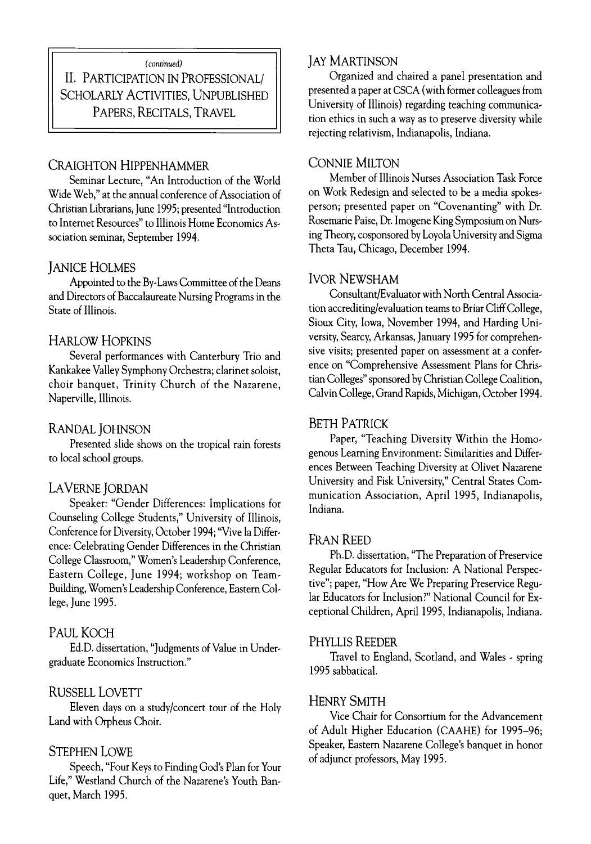#### *(continued)*

II. PARTICIPATION IN PROFESSIONAL/ SCHOLARLY ACTIVITIES, UNPUBLISHED PAPERS, RECITALS, TRAVEL

#### CRAIGHTON HIPPENHAMMER

Seminar Lecture, "An Introduction of the World Wide Web," at the annual conference of Association of Christian Librarians, June 1995; presented "Introduction to Internet Resources" to Illinois Home Economics Association seminar, September 1994.

#### **JANICE HOLMES**

Appointed to the By-Laws Committee of the Deans and Directors of Baccalaureate Nursing Programs in the State of Illinois.

#### HARLOW HOPKINS

Several performances with Canterbury Trio and Kankakee Valley Symphony Orchestra; clarinet soloist, choir banquet, Trinity Church of the Nazarene, Naperville, Illinois.

#### RANDAL JOHNSON

Presented slide shows on the tropical rain forests to local school groups.

#### LAVERNE JORDAN

Speaker: "Gender Differences: Implications for Counseling College Students," University of Illinois, Conference for Diversity, October 1994; "Vive la Difference: Celebrating Gender Differences in the Christian College Classroom," Women's Leadership Conference, Eastern College, June 1994; workshop on Team-Building, Women's Leadership Conference, Eastern College, June 1995.

#### PAUL KOCH

Ed.D. dissertation, "Judgments of Value in Undergraduate Economics Instruction."

#### RUSSELL LOVETT

Eleven days on a study/concert tour of the Holy Land with Orpheus Choir.

#### STEPHEN LOWE

Speech, "Four Keys to Finding God's Plan for Your Life," Westland Church of the Nazarene's Youth Banquet, March 1995.

#### JAY MARTINSON

Organized and chaired a panel presentation and presented a paper at CSCA (with former colleagues from University of Illinois) regarding teaching communication ethics in such a way as to preserve diversity while rejecting relativism, Indianapolis, Indiana.

#### CONNIE MILTON

Member of Illinois Nurses Association Task Force on Work Redesign and selected to be a media spokesperson; presented paper on "Covenanting" with Dr. Rosemarie Paise, Dr. Imogene King Symposium on Nursing Theory, cosponsored by Loyola University and Sigma Theta Tau, Chicago, December 1994-

#### **IVOR NEWSHAM**

Consultant/Evaluator with North Central Association accrediting/evaluation teams to Briar Cliff College, Sioux City, Iowa, November 1994, and Harding University, Searcy, Arkansas, January 1995 for comprehensive visits; presented paper on assessment at a conference on "Comprehensive Assessment Plans for Christian Colleges" sponsored by Christian College Coalition, Calvin College, Grand Rapids, Michigan, October 1994.

#### BETH PATRICK

Paper, "Teaching Diversity Within the Homogenous Learning Environment: Similarities and Differences Between Teaching Diversity at Olivet Nazarene University and Fisk University," Central States Communication Association, April 1995, Indianapolis, Indiana.

#### FRAN REED

Ph.D. dissertation, "The Preparation of Preservice Regular Educators for Inclusion: A National Perspective"; paper, "How Are We Preparing Preservice Regular Educators for Inclusion?" National Council for Exceptional Children, April 1995, Indianapolis, Indiana.

#### PHYLLIS REEDER

Travel to England, Scotland, and Wales - spring 1995 sabbatical.

#### **HENRY SMITH**

Vice Chair for Consortium for the Advancement of Adult Higher Education (CAAHE) for 1995-96; Speaker, Eastern Nazarene College's banquet in honor of adjunct professors, May 1995.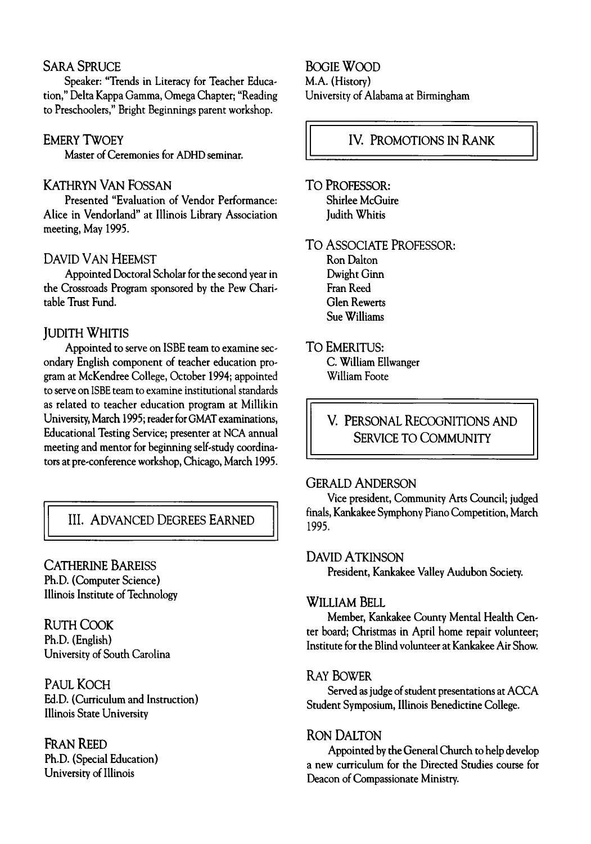#### **SARA SPRUCE**

Speaker: "Trends in Literacy for Teacher Education," Delta Kappa Gamma, Omega Chapter; "Reading to Preschoolers," Bright Beginnings parent workshop.

#### **EMERY TWOEY**

Master of Ceremonies for ADHD seminar.

#### KATHRYN VAN FOSSAN

Presented "Evaluation of Vendor Performance: Alice in Vendorland" at Illinois Library Association meeting, May 1995.

#### DAVID VAN HEEMST

Appointed Doctoral Scholar for the second year in the Crossroads Program sponsored by the Pew Charitable Trust Fund.

#### **JUDITH WHITIS**

Appointed to serve on ISBE team to examine secondary English component of teacher education program at McKendree College, October 1994; appointed to serve on ISBE team to examine institutional standards as related to teacher education program at Millikin University, March 1995; reader for GMAT examinations, Educational Testing Service; presenter at NCA annual meeting and mentor for beginning self-study coordinators at pre-conference workshop, Chicago, March 1995.

#### III. ADVANCED DEGREES EARNED

#### CATHERINE BAREISS

Ph.D. (Computer Science) Illinois Institute of Technology

**RUTH COOK** Ph.D. (English) University of South Carolina

PAUL KOCH Ed.D. (Curriculum and Instruction) Illinois State University

FRAN REED Ph.D. (Special Education) University of Illinois

BOGIE WOOD M.A. (History) University of Alabama at Birmingham

#### IV. PROMOTIONS IN RANK

TO PROFESSOR: Shirlee McGuire Judith Whitis

**TO ASSOCIATE PROFESSOR:** 

Ron Dalton Dwight Ginn Fran Reed Glen Rewerts Sue Williams

#### TO EMERITUS:

C. William Ellwanger William Foote

V. PERSONAL RECOGNITIONS AND SERVICE TO COMMUNITY

#### GERALD ANDERSON

Vice president, Community Arts Council; judged finals, Kankakee Symphony Piano Competition, March 1995.

#### DAVID A TKINSON

President, Kankakee Valley Audubon Society.

#### WILLIAM BELL

Member, Kankakee County Mental Health Center board; Christmas in April home repair volunteer; Institute for the Blind volunteer at Kankakee Air Show.

#### **RAY BOWER**

Served as judge of student presentations at ACCA Student Symposium, Illinois Benedictine College.

#### **RON DALTON**

Appointed by the General Church to help develop a new curriculum for the Directed Studies course for Deacon of Compassionate Ministry.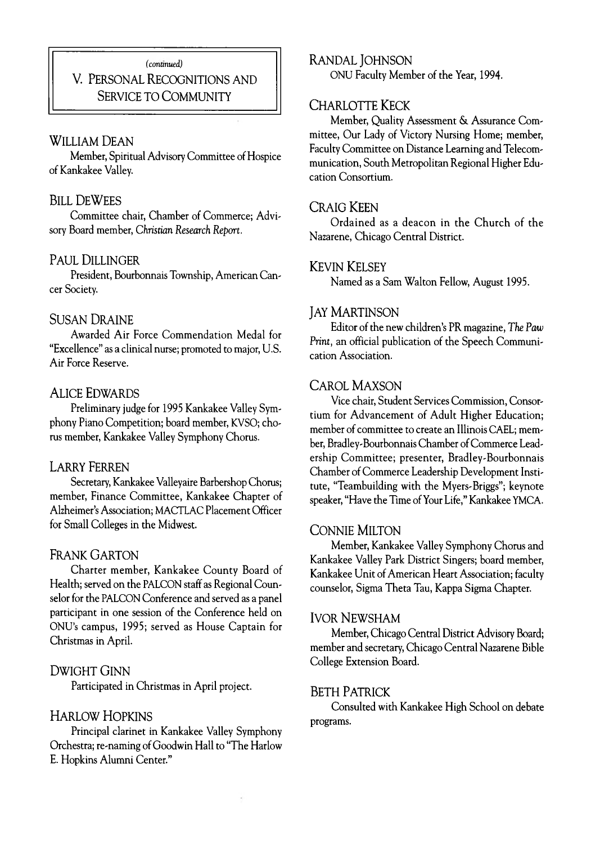#### *(continued)*

#### V. PERSONAL RECOGNITIONS AND SERVICE TO COMMUNITY

#### William Dean

Member, Spiritual Advisory Committee of Hospice of Kankakee Valley.

#### **BILL DEWEES**

Committee chair, Chamber of Commerce; Advisory Board member, *Christian Research Report.*

#### PAUL DILLINGER

President, Bourbonnais Township, American Cancer Society.

#### **SUSAN DRAINE**

Awarded Air Force Commendation Medal for "Excellence" as a clinical nurse; promoted to major, U.S. Air Force Reserve.

#### ALICE EDWARDS

Preliminary judge for 1995 Kankakee Valley Symphony Piano Competition; board member, KVSO; chorus member, Kankakee Valley Symphony Chorus.

#### LARRY FERREN

Secretary, Kankakee Valleyaire Barbershop Chorus; member, Finance Committee, Kankakee Chapter of Alzheimer's Association; MACTLAC Placement Officer for Small Colleges in the Midwest.

#### FRANK GARTON

Charter member, Kankakee County Board of Health; served on the PALCON staff as Regional Counselor for the PALCON Conference and served as a panel participant in one session of the Conference held on ONU's campus, 1995; served as House Captain for Christmas in April.

#### DWIGHT GINN

Participated in Christmas in April project.

#### HARLOW HOPKINS

Principal clarinet in Kankakee Valley Symphony Orchestra; re-naming of Goodwin Hall to "The Harlow E. Hopkins Alumni Center."

#### RANDAL JOHNSON

ONU Faculty Member of the Year, 1994.

#### CHARLOTTE KECK

Member, Quality Assessment & Assurance Committee, Our Lady of Victory Nursing Home; member, Faculty Committee on Distance Learning and Telecommunication, South Metropolitan Regional Higher Education Consortium.

#### CRAIG KEEN

Ordained as a deacon in the Church of the Nazarene, Chicago Central District.

#### KEVIN KELSEY

Named as a Sam Walton Fellow, August 1995.

#### **JAY MARTINSON**

Editor of the new children's PR magazine, *The Paw Print,* an official publication of the Speech Communication Association.

#### CAROL MAXSON

Vice chair, Student Services Commission, Consortium for Advancement of Adult Higher Education; member of committee to create an Illinois CAEL; member, Bradley-Bourbonnais Chamber of Commerce Leadership Committee; presenter, Bradley-Bourbonnais Chamber of Commerce Leadership Development Institute, "Teambuilding with the Myers-Briggs"; keynote speaker, "Have the Time of Your Life," Kankakee YMCA.

#### CONNIE MILTON

Member, Kankakee Valley Symphony Chorus and Kankakee Valley Park District Singers; board member, Kankakee Unit of American Heart Association; faculty counselor, Sigma Theta Tau, Kappa Sigma Chapter.

#### **IVOR NEWSHAM**

Member, Chicago Central District Advisory Board; member and secretary, Chicago Central Nazarene Bible College Extension Board.

#### BETH PATRICK

Consulted with Kankakee High School on debate programs.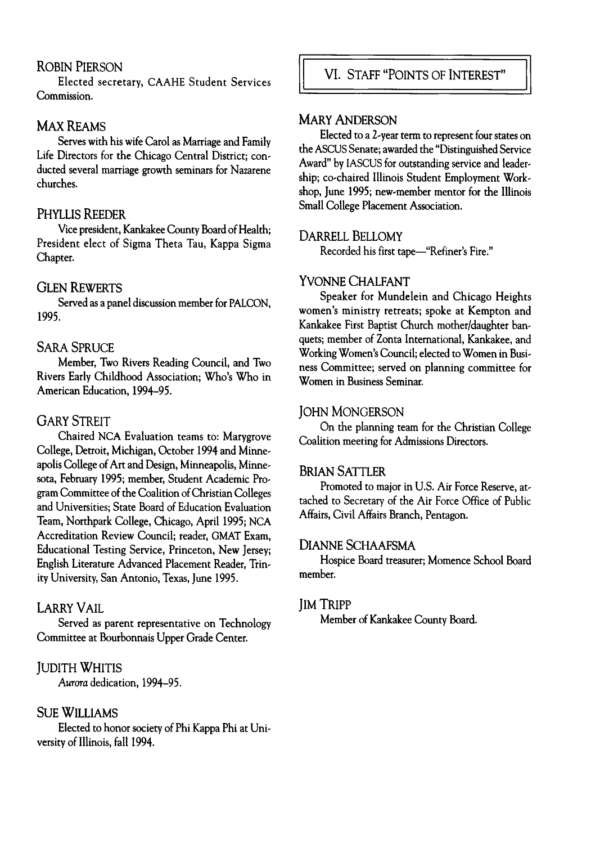#### **ROBIN PIERSON**

Elected secretary, CAAHE Student Services Commission.

#### **MAX REAMS**

Serves with his wife Carol as Marriage and Family Life Directors for the Chicago Central District; conducted several marriage growth seminars for Nazarene churches.

#### **Ph yllis Reed er**

Vice president, Kankakee County Board of Health; President elect of Sigma Theta Tau, Kappa Sigma Chapter.

#### **GLEN** REWERTS

Served as a panel discussion member for PALCON, 1995.

#### **SARA SPRUCE**

Member, Two Rivers Reading Council, and Two Rivers Early Childhood Association; Who's Who in American Education, 1994-95.

#### **GARY STREIT**

Chaired NCA Evaluation teams to: Marygrove College, Detroit, Michigan, October 1994 and Minneapolis College of Art and Design, Minneapolis, Minnesota, February 1995; member, Student Academic Program Committee of the Coalition of Christian Colleges and Universities; State Board of Education Evaluation Team, Northpark College, Chicago, April 1995; NCA Accreditation Review Council; reader, GMAT Exam, Educational Testing Service, Princeton, New Jersey; English Literature Advanced Placement Reader, Trinity University, San Antonio, Texas, June 1995.

#### **LARRY VAIL**

Served as parent representative on Technology Committee at Bourbonnais Upper Grade Center.

#### **JUDITH WHITIS**

*Aurora* dedication, 1994-95.

#### **SUE WILLIAMS**

Elected to honor society of Phi Kappa Phi at University of Illinois, fall 1994.

#### **MARY ANDERSON**

Elected to a 2-year term to represent four states on the ASCUS Senate; awarded the "Distinguished Service Award" by IASCUS for outstanding service and leadership; co-chaired Illinois Student Employment Workshop, June 1995; new-member mentor for the Illinois Small College Placement Association.

#### DARRELL BELLOMY

Recorded his first tape— "Refiner's Fire."

#### YVONNE CHALFANT

Speaker for Mundelein and Chicago Heights women's ministry retreats; spoke at Kempton and Kankakee First Baptist Church mother/daughter banquets; member of Zonta International, Kankakee, and Working Women's Council; elected to Women in Business Committee; served on planning committee for Women in Business Seminar.

#### **JOHN MONGERSON**

On the planning team for the Christian College Coalition meeting for Admissions Directors.

#### **BRIAN SATTLER**

Promoted to major in U.S. Air Force Reserve, attached to Secretary of the Air Force Office of Public Affairs, Civil Affairs Branch, Pentagon.

#### **DIANNE SCHAAFSMA**

Hospice Board treasurer; Momence School Board member.

#### JIM TRIPP

Member of Kankakee County Board.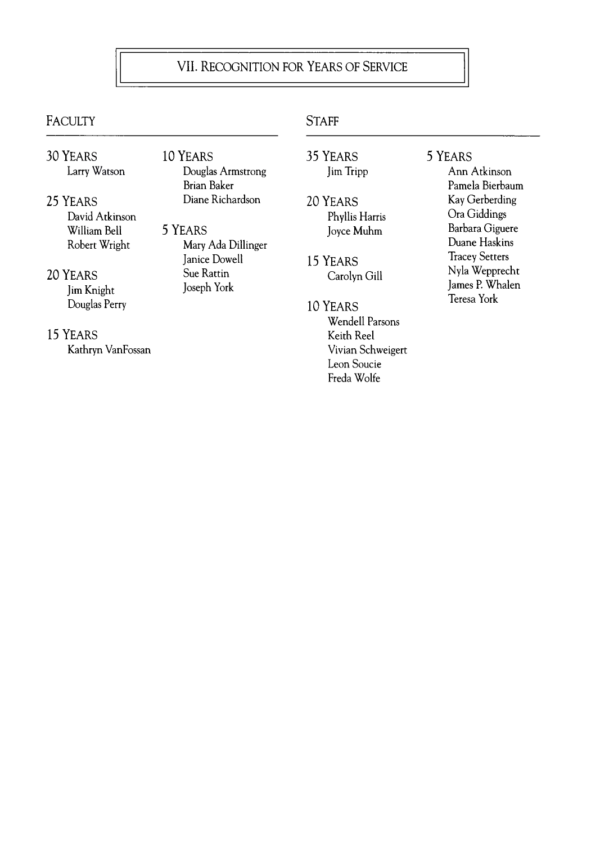### **VII. RECOGNITION FOR YEARS OF SERVICE**

### **FACULTY** STAFF

- 30 YEARS Larry Watson
- 25 YEARS David Atkinson William Bell Robert Wright
- 20 YEARS Jim Knight Douglas Perry
- 15 YEARS Kathryn VanFossan
- **10 YEARS** Douglas Armstrong Brian Baker Diane Richardson
- 5 YEARS Mary Ada Dillinger Janice Dowell Sue Rattin Joseph York
- 
- 35 YEARS Jim Tripp
- **20 Ye a r s** Phyllis Harris Joyce Muhm
- **15 YEARS** Carolyn Gill
- 10 YEARS Wendell Parsons Keith Reel Vivian Schweigert Leon Soucie Freda Wolfe
- 5 YEARS
	- Ann Atkinson Pamela Bierbaum Kay Gerberding Ora Giddings Barbara Giguere Duane Haskins Tracey Setters Nyla Wepprecht James P. Whalen Teresa York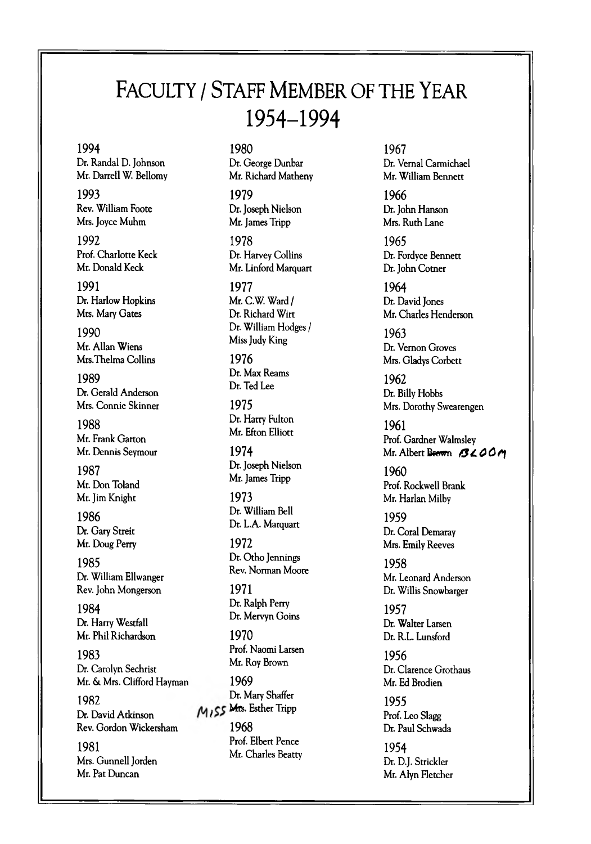### FACULTY / STAFF MEMBER OF THE YEAR 1954-1994

#### **1994 1980**

Dr. Randal D. Johnson Dr. George Dunbar Mr. Darrell W. Bellomy Mr. Richard Matheny

**1993 1979** Rev. William Foote Dr. Joseph Nielson Mrs. Joyce Muhm Mr. James Tripp

**1992 1978** Prof. Charlotte Keck Dr. Harvey Collins

**1991 1977** Dr. Harlow Hopkins Mr. C.W. Ward / Mrs. Mary Gates Dr. Richard Wirt

1990 Mr. Allan Wiens Mrs.Thelma Collins **1976**

Dr. Gerald Anderson Mrs. Connie Skinner **1975**

**1988** Mr. Frank Garton Mr. Dennis Seymour **1974**

1987 Mr. Don Toland Mr. Jim Knight

**1986** Dr. Gary Streit Mr. Doug Perry **1972**

**1985** Dr. William Ellwanger Rev. John Mongerson

**1984** Dr. Harry Westfall Mr. Phil Richardson

**1983** Dr. Carolyn Sechrist Mr. & Mrs. Clifford Hayman **1969**

**1982** Dr. Mary Shaffer *i* Mrs. Esther Tripp Dr. David Atkinson Rev. Gordon Wickersham

**1981** Mrs. Gunnell Jorden Mr. Pat Duncan

Mr. Donald Keck Mr. Linford Marquart

**1990** Dr. William Hodges / Miss Judy King

**<sup>1989</sup>** Dr. Max Reams Dr. Ted Lee

> Dr. Harry Fulton Mr. Efton Elliott

**<sup>1987</sup>** Dr. Joseph Nielson Mr. James Tripp

**1973** Dr. William Bell Dr. L.A. Marquart

Dr. Otho Jennings Rev. Norman Moore

**1971** Dr. Ralph Perry Dr. Mervyn Goins

**1970** Prof. Naomi Larsen Mr. Roy Brown

**1968** Prof. Elbert Pence Mr. Charles Beatty

**1967** Dr. Vernal Carmichael Mr. William Bennett

**1966** Dr. John Hanson Mrs. Ruth Lane

**1965** Dr. Fordyce Bennett Dr. John Cotner

**1964** Dr. David Jones Mr. Charles Henderson

**1963** Dr. Vernon Groves Mrs. Gladys Corbett

**1962** Dr. Billy Hobbs Mrs. Dorothy Swearengen

**1961** Prof. Gardner Walmsley Mr. Albert Brown *GLOOM* 

**1960** Prof. Rockwell Brank Mr. Harlan Milby

**1959** Dr. Coral Demaray Mrs. Emily Reeves

**1958** Mr. Leonard Anderson Dr. Willis Snowbarger

**1957** Dr. Walter Larsen Dr. R.L. Lunsford

**1956** Dr. Clarence Grothaus Mr. Ed Brodien

**1955** Prof. Leo Slagg Dr. Paul Schwada

**1954** Dr. D.J. Strickler Mr. Alyn Fletcher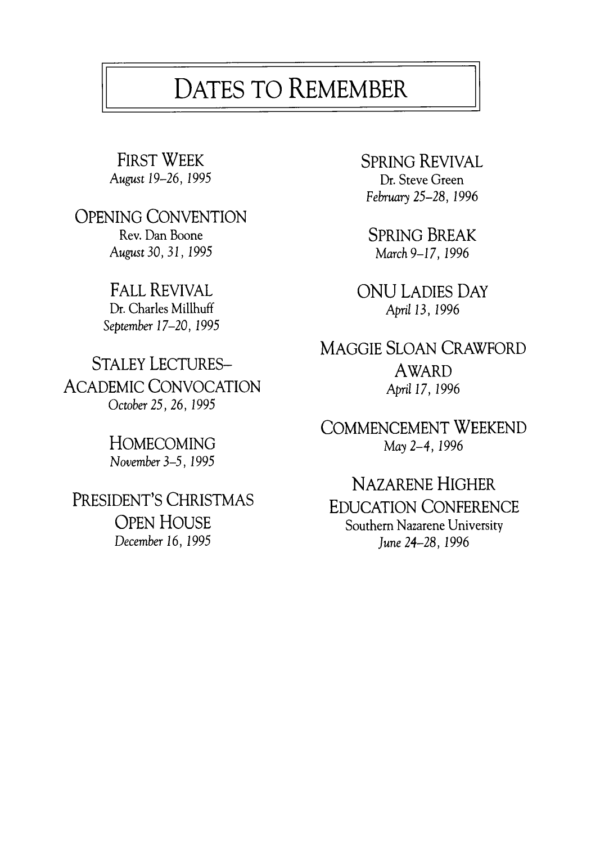## DATES TO REMEMBER

**OPENING CONVENTION Rev. Dan Boone SPRING BREAK**<br> **Rev. Dan Boone SPRING BREAK**<br>
March 9-17, 1996 *August 30, 31, 1995* 

**Dr.** Charles Millhuff *September 17-20, 1995*

**STALEY LECTURES- AWARD ACADEMIC CONVOCATION** *April 17, 1996* October 25, 26, 1995

*November 3 -5 , 1995*

*December 16, 1995 June 24-28, 1996* 

FIRST WEEK SPRING REVIVAL **August** *19-26, 1***995 Dr. Steve Green** February 25-28, 1996

FALL REVIVAL<br>Dr. Charles Millhuff **Dr. Charles Millhuff** *Dr.* Charles Millhuff

**MAGGIE SLOAN CRAWFORD**

**COMMENCEMENT WEEKEND HOMECOMING M***ay 2 - 4 ,1 9 9 6*

**NAZARENE HIGHER PRESIDENT'S CHRISTMAS EDUCATION CONFERENCE**<br>COPEN HOUSE Southern Nazarene University **Southern Nazarene University**